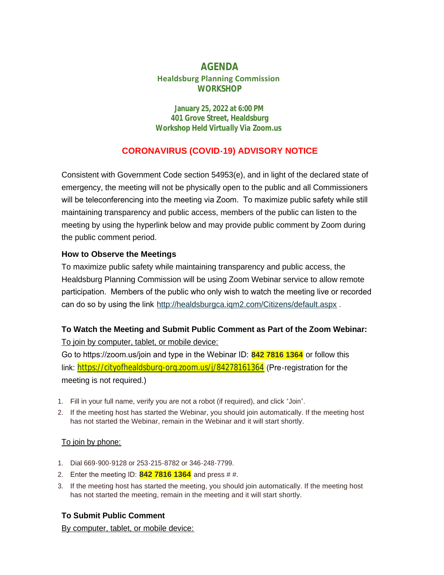# **AGENDA Healdsburg Planning Commission WORKSHOP**

**January 25, 2022 at 6:00 PM 401 Grove Street, Healdsburg** *Workshop Held Virtually Via Zoom.us*

# **CORONAVIRUS (COVID-19) ADVISORY NOTICE**

Consistent with Government Code section 54953(e), and in light of the declared state of emergency, the meeting will not be physically open to the public and all Commissioners will be teleconferencing into the meeting via Zoom. To maximize public safety while still maintaining transparency and public access, members of the public can listen to the meeting by using the hyperlink below and may provide public comment by Zoom during the public comment period.

### **How to Observe the Meetings**

To maximize public safety while maintaining transparency and public access, the Healdsburg Planning Commission will be using Zoom Webinar service to allow remote participation. Members of the public who only wish to watch the meeting live or recorded can do so by using the link <http://healdsburgca.iqm2.com/Citizens/default.aspx> .

## **To Watch the Meeting and Submit Public Comment as Part of the Zoom Webinar:**

To join by computer, tablet, or mobile device:

Go to https://zoom.us/join and type in the Webinar ID: **842 7816 1364** or follow this link: <https://cityofhealdsburg-org.zoom.us/j/84278161364> (Pre-registration for the meeting is not required.)

- 1. Fill in your full name, verify you are not a robot (if required), and click "Join".
- 2. If the meeting host has started the Webinar, you should join automatically. If the meeting host has not started the Webinar, remain in the Webinar and it will start shortly.

#### To join by phone:

- 1. Dial 669-900-9128 or 253-215-8782 or 346-248-7799.
- 2. Enter the meeting ID: **842 7816 1364** and press # #.
- 3. If the meeting host has started the meeting, you should join automatically. If the meeting host has not started the meeting, remain in the meeting and it will start shortly.

## **To Submit Public Comment**

By computer, tablet, or mobile device: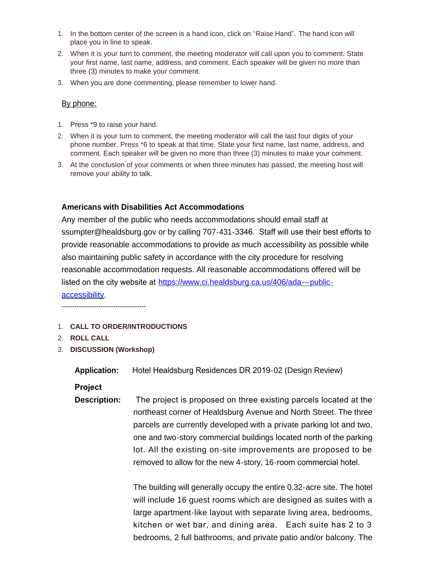- 1. In the bottom center of the screen is a hand icon, click on "Raise Hand". The hand icon will place you in line to speak.
- 2. When it is your turn to comment, the meeting moderator will call upon you to comment. State your first name, last name, address, and comment. Each speaker will be given no more than three (3) minutes to make your comment.
- 3. When you are done commenting, please remember to lower hand.

#### By phone:

- 1. Press \*9 to raise your hand.
- 2. When it is your turn to comment, the meeting moderator will call the last four digits of your phone number. Press \*6 to speak at that time. State your first name, last name, address, and comment. Each speaker will be given no more than three (3) minutes to make your comment.
- 3. At the conclusion of your comments or when three minutes has passed, the meeting host will remove your ability to talk.

#### **Americans with Disabilities Act Accommodations**

Any member of the public who needs accommodations should email staff at ssumpter@healdsburg.gov or by calling 707-431-3346. Staff will use their best efforts to provide reasonable accommodations to provide as much accessibility as possible while also maintaining public safety in accordance with the city procedure for resolving reasonable accommodation requests. All reasonable accommodations offered will be listed on the city website at [https://www.ci.healdsburg.ca.us/406/ada---public](https://www.ci.healdsburg.ca.us/406/ada---public-accessibility)accessibility.

---------------------------------------

- 1. **CALL TO ORDER/INTRODUCTIONS**
- 2. **ROLL CALL**
- 3. **DISCUSSION (Workshop)**

**Application:** Hotel Healdsburg Residences DR 2019-02 (Design Review)

**Project** 

**Description:** The project is proposed on three existing parcels located at the northeast corner of Healdsburg Avenue and North Street. The three parcels are currently developed with a private parking lot and two, one and two-story commercial buildings located north of the parking lot. All the existing on-site improvements are proposed to be removed to allow for the new 4-story, 16-room commercial hotel.

> The building will generally occupy the entire 0.32-acre site. The hotel will include 16 guest rooms which are designed as suites with a large apartment-like layout with separate living area, bedrooms, kitchen or wet bar, and dining area. Each suite has 2 to 3 bedrooms, 2 full bathrooms, and private patio and/or balcony. The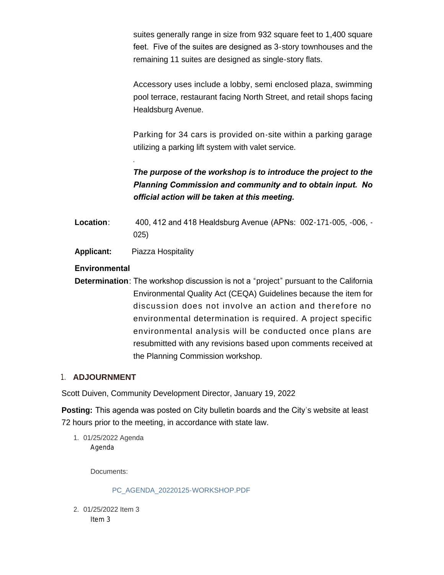suites generally range in size from 932 square feet to 1,400 square feet. Five of the suites are designed as 3-story townhouses and the remaining 11 suites are designed as single-story flats.

Accessory uses include a lobby, semi enclosed plaza, swimming pool terrace, restaurant facing North Street, and retail shops facing Healdsburg Avenue.

Parking for 34 cars is provided on-site within a parking garage utilizing a parking lift system with valet service.

*The purpose of the workshop is to introduce the project to the Planning Commission and community and to obtain input. No official action will be taken at this meeting.* 

- **Location**: 400, 412 and 418 Healdsburg Avenue (APNs: 002-171-005, -006, 025)
- **Applicant:** Piazza Hospitality

*.*

## **Environmental**

**Determination**: The workshop discussion is not a "project" pursuant to the California Environmental Quality Act (CEQA) Guidelines because the item for discussion does not involve an action and therefore no environmental determination is required. A project specific environmental analysis will be conducted once plans are resubmitted with any revisions based upon comments received at the Planning Commission workshop.

#### 1. **ADJOURNMENT**

Scott Duiven, Community Development Director, January 19, 2022

**Posting:** This agenda was posted on City bulletin boards and the City's website at least 72 hours prior to the meeting, in accordance with state law.

01/25/2022 Agenda 1. Agenda

Docu[ments:](https://healdsburg.gov/AgendaCenter/ViewFile/Item/3131?fileID=23570)

PC\_AGENDA\_20220125-WORKSHOP.PDF

01/25/2022 Item 3 2. Item 3